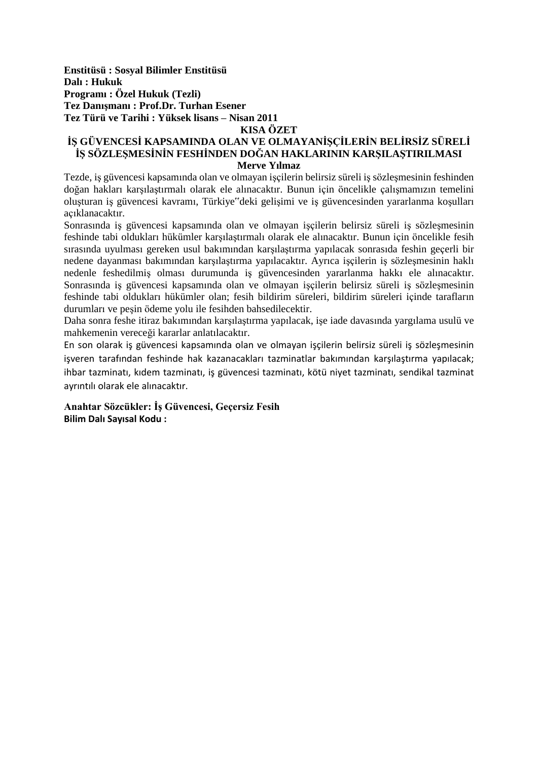**Enstitüsü : Sosyal Bilimler Enstitüsü Dalı : Hukuk Programı : Özel Hukuk (Tezli) Tez Danışmanı : Prof.Dr. Turhan Esener Tez Türü ve Tarihi : Yüksek lisans – Nisan 2011** 

**KISA ÖZET**

### **İŞ GÜVENCESİ KAPSAMINDA OLAN VE OLMAYANİŞÇİLERİN BELİRSİZ SÜRELİ İŞ SÖZLEŞMESİNİN FESHİNDEN DOĞAN HAKLARININ KARŞILAŞTIRILMASI Merve Yılmaz**

Tezde, iş güvencesi kapsamında olan ve olmayan işçilerin belirsiz süreli iş sözleşmesinin feshinden doğan hakları karşılaştırmalı olarak ele alınacaktır. Bunun için öncelikle çalışmamızın temelini oluşturan iş güvencesi kavramı, Türkiye"deki gelişimi ve iş güvencesinden yararlanma koşulları açıklanacaktır.

Sonrasında iş güvencesi kapsamında olan ve olmayan işçilerin belirsiz süreli iş sözleşmesinin feshinde tabi oldukları hükümler karşılaştırmalı olarak ele alınacaktır. Bunun için öncelikle fesih sırasında uyulması gereken usul bakımından karşılaştırma yapılacak sonrasıda feshin geçerli bir nedene dayanması bakımından karşılaştırma yapılacaktır. Ayrıca işçilerin iş sözleşmesinin haklı nedenle feshedilmiş olması durumunda iş güvencesinden yararlanma hakkı ele alınacaktır. Sonrasında iş güvencesi kapsamında olan ve olmayan işçilerin belirsiz süreli iş sözleşmesinin feshinde tabi oldukları hükümler olan; fesih bildirim süreleri, bildirim süreleri içinde tarafların durumları ve peşin ödeme yolu ile fesihden bahsedilecektir.

Daha sonra feshe itiraz bakımından karşılaştırma yapılacak, işe iade davasında yargılama usulü ve mahkemenin vereceği kararlar anlatılacaktır.

En son olarak iş güvencesi kapsamında olan ve olmayan işçilerin belirsiz süreli iş sözleşmesinin işveren tarafından feshinde hak kazanacakları tazminatlar bakımından karşılaştırma yapılacak; ihbar tazminatı, kıdem tazminatı, iş güvencesi tazminatı, kötü niyet tazminatı, sendikal tazminat ayrıntılı olarak ele alınacaktır.

**Anahtar Sözcükler: İş Güvencesi, Geçersiz Fesih Bilim Dalı Sayısal Kodu :**